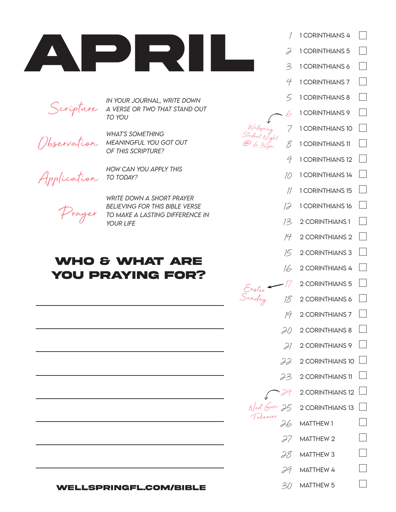

Scripture

*in your journal, write down a verse or two that stand out to you* 

Observation

*what's something meaningful you got out of this scripture?*

*how can you apply this* 

Application

Prayer

*write down a short prayer believing for this bible verse to make a lasting difference in* 

## **who & what are you praying for?**

*to today?*

*your life*

**wellspringfl.com/bible**

| 1 CORINTHIANS 4  |                                                                                                                                     |
|------------------|-------------------------------------------------------------------------------------------------------------------------------------|
| 1 CORINTHIANS 5  |                                                                                                                                     |
| 1 CORINTHIANS 6  |                                                                                                                                     |
| 1 CORINTHIANS 7  |                                                                                                                                     |
| 1 CORINTHIANS 8  |                                                                                                                                     |
| 1 CORINTHIANS 9  |                                                                                                                                     |
| 1 CORINTHIANS 10 |                                                                                                                                     |
| 1 CORINTHIANS 11 |                                                                                                                                     |
| 1 CORINTHIANS 12 |                                                                                                                                     |
| 1 CORINTHIANS 14 |                                                                                                                                     |
| 1 CORINTHIANS 15 |                                                                                                                                     |
| 1 CORINTHIANS 16 |                                                                                                                                     |
| 2 CORINTHIANS 1  |                                                                                                                                     |
| 2 CORINTHIANS 2  |                                                                                                                                     |
| 2 CORINTHIANS 3  |                                                                                                                                     |
| 2 CORINTHIANS 4  |                                                                                                                                     |
| 2 CORINTHIANS 5  |                                                                                                                                     |
| 2 CORINTHIANS 6  |                                                                                                                                     |
| 2 CORINTHIANS 7  |                                                                                                                                     |
| 2 CORINTHIANS 8  |                                                                                                                                     |
| 2 CORINTHIANS 9  |                                                                                                                                     |
| 2 CORINTHIANS 10 |                                                                                                                                     |
|                  |                                                                                                                                     |
|                  |                                                                                                                                     |
|                  |                                                                                                                                     |
| <b>MATTHEW1</b>  |                                                                                                                                     |
| MATTHEW 2        |                                                                                                                                     |
|                  |                                                                                                                                     |
|                  |                                                                                                                                     |
| <b>MATTHEW 5</b> |                                                                                                                                     |
|                  | 22<br>$232$ CORINTHIANS 11<br>$74$ 2 CORINTHIANS 12<br>$25$ 2 CORINTHIANS 13<br>$28$ MATTHEW 3<br>$29$ MATTHEW 4<br>30 <sup>o</sup> |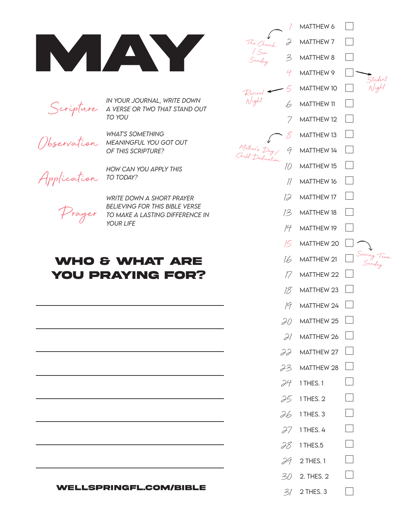



*in your journal, write down a verse or two that stand out to you* 

Observation

*what's something meaningful you got out of this scripture?*

*how can you apply this* 

Application

Prayer

*write down a short prayer believing for this bible verse to make a lasting difference in* 

## **who & what are you praying for?**

*to today?*

*your life*

| <b>WELLSPRINGFL.COM/BIBLE</b> |
|-------------------------------|
|                               |

|                                       | MATTHEW 6         |                        |
|---------------------------------------|-------------------|------------------------|
| J<br>The Church                       | <b>MATTHEW 7</b>  |                        |
| / See<br>Sunday<br>3                  | <b>MATTHEW 8</b>  |                        |
| 4                                     | MATTHEW 9         | Studen                 |
|                                       | <b>MATTHEW 10</b> |                        |
| Revival<br>Night<br>b                 | <b>MATTHEW 11</b> |                        |
| 7                                     | <b>MATTHEW 12</b> |                        |
|                                       | MATTHEW 13        |                        |
| Mother's Day<br>Child Dedication<br>9 | MATTHEW 14        |                        |
| 10                                    | MATTHEW 15        |                        |
| 11                                    | <b>MATTHEW 16</b> |                        |
| 12                                    | MATTHEW 17        |                        |
| 13                                    | <b>MATTHEW 18</b> |                        |
| 14                                    | MATTHEW 19        |                        |
| 15                                    | MATTHEW 20        |                        |
| 16                                    | MATTHEW 21        | Serving Tean<br>Sunday |
| Т /                                   | MATTHEW 22        |                        |
| 18                                    | MATTHEW 23        |                        |
| 19                                    | MATTHEW 24        | $\pm$                  |
|                                       | $20$ MATTHEW 25   | $\vert \ \ \vert$      |
|                                       | $21$ MATTHEW 26   | $\Box$                 |
|                                       | $22$ MATTHEW 27   | $\vert \ \ \vert$      |
|                                       | $23$ MATTHEW 28   | $\vert \ \ \vert$      |
|                                       | $24$ 1 THES. 1    | $\sim$                 |
|                                       | $25$ 1 THES. 2    |                        |
|                                       | $26$ 1 THES. 3    |                        |
|                                       | $27$ 1 THES. 4    | $\sim$                 |
|                                       | $28$ 1 THES.5     |                        |
|                                       | $39$ 2 THES. 1    |                        |
|                                       | $302$ . THES. 2   |                        |
|                                       | $3/2$ THES. 3     |                        |